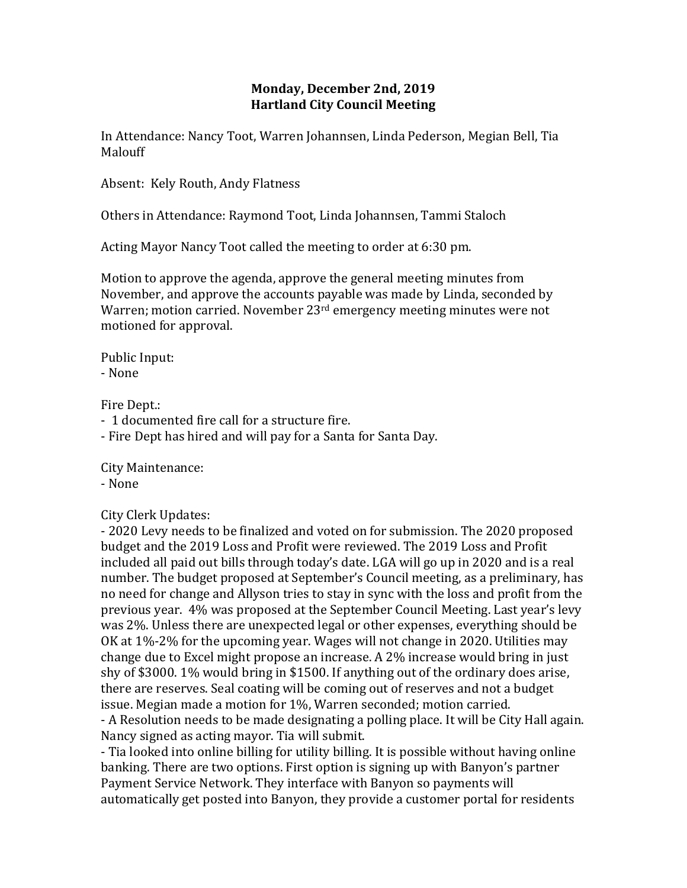## **Monday, December 2nd, 2019 Hartland City Council Meeting**

In Attendance: Nancy Toot, Warren Johannsen, Linda Pederson, Megian Bell, Tia Malouff

Absent: Kely Routh, Andy Flatness

Others in Attendance: Raymond Toot, Linda Johannsen, Tammi Staloch

Acting Mayor Nancy Toot called the meeting to order at 6:30 pm.

Motion to approve the agenda, approve the general meeting minutes from November, and approve the accounts payable was made by Linda, seconded by Warren; motion carried. November 23<sup>rd</sup> emergency meeting minutes were not motioned for approval.

Public Input: - None

Fire Dept.:

- 1 documented fire call for a structure fire.
- Fire Dept has hired and will pay for a Santa for Santa Day.

City Maintenance:

- None

City Clerk Updates:

- 2020 Levy needs to be finalized and voted on for submission. The 2020 proposed budget and the 2019 Loss and Profit were reviewed. The 2019 Loss and Profit included all paid out bills through today's date. LGA will go up in 2020 and is a real number. The budget proposed at September's Council meeting, as a preliminary, has no need for change and Allyson tries to stay in sync with the loss and profit from the previous year. 4% was proposed at the September Council Meeting. Last year's levy was 2%. Unless there are unexpected legal or other expenses, everything should be OK at 1%-2% for the upcoming year. Wages will not change in 2020. Utilities may change due to Excel might propose an increase. A 2% increase would bring in just shy of \$3000. 1% would bring in \$1500. If anything out of the ordinary does arise, there are reserves. Seal coating will be coming out of reserves and not a budget issue. Megian made a motion for 1%, Warren seconded; motion carried.

- A Resolution needs to be made designating a polling place. It will be City Hall again. Nancy signed as acting mayor. Tia will submit.

- Tia looked into online billing for utility billing. It is possible without having online banking. There are two options. First option is signing up with Banyon's partner Payment Service Network. They interface with Banyon so payments will automatically get posted into Banyon, they provide a customer portal for residents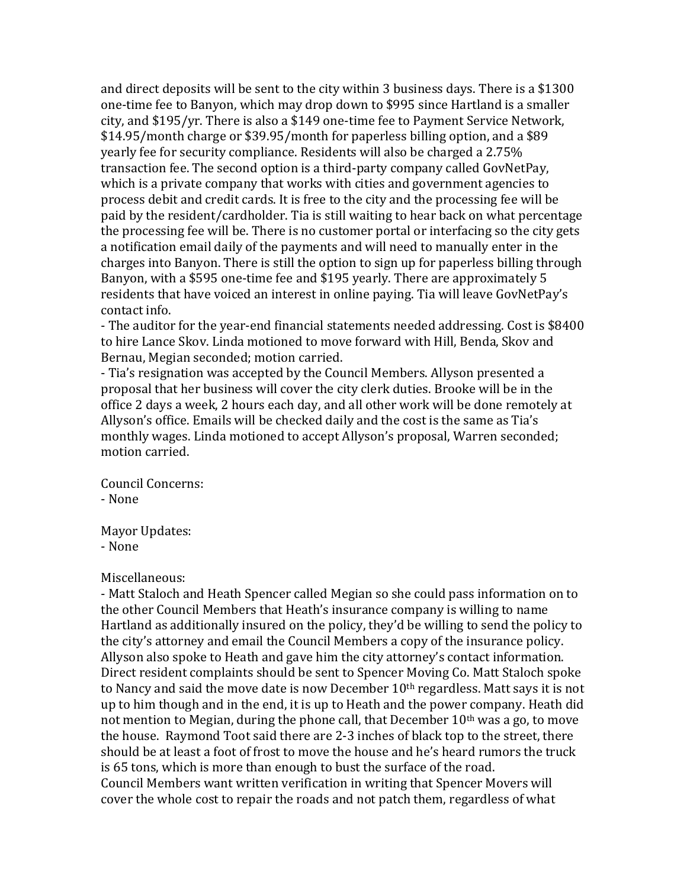and direct deposits will be sent to the city within 3 business days. There is a \$1300 one-time fee to Banyon, which may drop down to \$995 since Hartland is a smaller city, and \$195/yr. There is also a \$149 one-time fee to Payment Service Network, \$14.95/month charge or \$39.95/month for paperless billing option, and a \$89 yearly fee for security compliance. Residents will also be charged a 2.75% transaction fee. The second option is a third-party company called GovNetPay, which is a private company that works with cities and government agencies to process debit and credit cards. It is free to the city and the processing fee will be paid by the resident/cardholder. Tia is still waiting to hear back on what percentage the processing fee will be. There is no customer portal or interfacing so the city gets a notification email daily of the payments and will need to manually enter in the charges into Banyon. There is still the option to sign up for paperless billing through Banyon, with a \$595 one-time fee and \$195 yearly. There are approximately 5 residents that have voiced an interest in online paying. Tia will leave GovNetPay's contact info.

- The auditor for the year-end financial statements needed addressing. Cost is \$8400 to hire Lance Skov. Linda motioned to move forward with Hill, Benda, Skov and Bernau, Megian seconded; motion carried.

- Tia's resignation was accepted by the Council Members. Allyson presented a proposal that her business will cover the city clerk duties. Brooke will be in the office 2 days a week, 2 hours each day, and all other work will be done remotely at Allyson's office. Emails will be checked daily and the cost is the same as Tia's monthly wages. Linda motioned to accept Allyson's proposal, Warren seconded; motion carried.

Council Concerns:

- None

Mayor Updates:

- None

## Miscellaneous:

- Matt Staloch and Heath Spencer called Megian so she could pass information on to the other Council Members that Heath's insurance company is willing to name Hartland as additionally insured on the policy, they'd be willing to send the policy to the city's attorney and email the Council Members a copy of the insurance policy. Allyson also spoke to Heath and gave him the city attorney's contact information. Direct resident complaints should be sent to Spencer Moving Co. Matt Staloch spoke to Nancy and said the move date is now December 10<sup>th</sup> regardless. Matt says it is not up to him though and in the end, it is up to Heath and the power company. Heath did not mention to Megian, during the phone call, that December  $10<sup>th</sup>$  was a go, to move the house. Raymond Toot said there are 2-3 inches of black top to the street, there should be at least a foot of frost to move the house and he's heard rumors the truck is 65 tons, which is more than enough to bust the surface of the road. Council Members want written verification in writing that Spencer Movers will cover the whole cost to repair the roads and not patch them, regardless of what